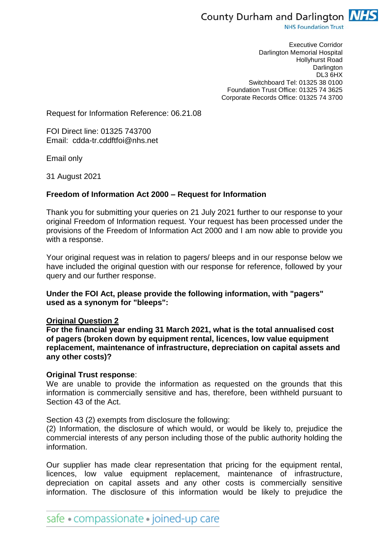

**NHS Foundation Trust** 

Executive Corridor Darlington Memorial Hospital Hollyhurst Road **Darlington** DL3 6HX Switchboard Tel: 01325 38 0100 Foundation Trust Office: 01325 74 3625 Corporate Records Office: 01325 74 3700

Request for Information Reference: 06.21.08

FOI Direct line: 01325 743700 Email: cdda-tr.cddftfoi@nhs.net

Email only

31 August 2021

## **Freedom of Information Act 2000 – Request for Information**

Thank you for submitting your queries on 21 July 2021 further to our response to your original Freedom of Information request. Your request has been processed under the provisions of the Freedom of Information Act 2000 and I am now able to provide you with a response.

Your original request was in relation to pagers/ bleeps and in our response below we have included the original question with our response for reference, followed by your query and our further response.

## **Under the FOI Act, please provide the following information, with "pagers" used as a synonym for "bleeps":**

### **Original Question 2**

**For the financial year ending 31 March 2021, what is the total annualised cost of pagers (broken down by equipment rental, licences, low value equipment replacement, maintenance of infrastructure, depreciation on capital assets and any other costs)?**

### **Original Trust response**:

We are unable to provide the information as requested on the grounds that this information is commercially sensitive and has, therefore, been withheld pursuant to Section 43 of the Act.

Section 43 (2) exempts from disclosure the following:

(2) Information, the disclosure of which would, or would be likely to, prejudice the commercial interests of any person including those of the public authority holding the information.

Our supplier has made clear representation that pricing for the equipment rental, licences, low value equipment replacement, maintenance of infrastructure, depreciation on capital assets and any other costs is commercially sensitive information. The disclosure of this information would be likely to prejudice the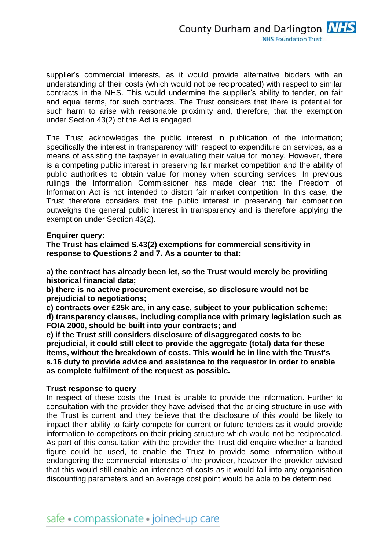supplier's commercial interests, as it would provide alternative bidders with an understanding of their costs (which would not be reciprocated) with respect to similar contracts in the NHS. This would undermine the supplier's ability to tender, on fair and equal terms, for such contracts. The Trust considers that there is potential for such harm to arise with reasonable proximity and, therefore, that the exemption under Section 43(2) of the Act is engaged.

The Trust acknowledges the public interest in publication of the information; specifically the interest in transparency with respect to expenditure on services, as a means of assisting the taxpayer in evaluating their value for money. However, there is a competing public interest in preserving fair market competition and the ability of public authorities to obtain value for money when sourcing services. In previous rulings the Information Commissioner has made clear that the Freedom of Information Act is not intended to distort fair market competition. In this case, the Trust therefore considers that the public interest in preserving fair competition outweighs the general public interest in transparency and is therefore applying the exemption under Section 43(2).

**Enquirer query:**

**The Trust has claimed S.43(2) exemptions for commercial sensitivity in response to Questions 2 and 7. As a counter to that:**

**a) the contract has already been let, so the Trust would merely be providing historical financial data;**

**b) there is no active procurement exercise, so disclosure would not be prejudicial to negotiations;**

**c) contracts over £25k are, in any case, subject to your publication scheme; d) transparency clauses, including compliance with primary legislation such as FOIA 2000, should be built into your contracts; and**

**e) if the Trust still considers disclosure of disaggregated costs to be prejudicial, it could still elect to provide the aggregate (total) data for these items, without the breakdown of costs. This would be in line with the Trust's s.16 duty to provide advice and assistance to the requestor in order to enable as complete fulfilment of the request as possible.**

## **Trust response to query**:

In respect of these costs the Trust is unable to provide the information. Further to consultation with the provider they have advised that the pricing structure in use with the Trust is current and they believe that the disclosure of this would be likely to impact their ability to fairly compete for current or future tenders as it would provide information to competitors on their pricing structure which would not be reciprocated. As part of this consultation with the provider the Trust did enquire whether a banded figure could be used, to enable the Trust to provide some information without endangering the commercial interests of the provider, however the provider advised that this would still enable an inference of costs as it would fall into any organisation discounting parameters and an average cost point would be able to be determined.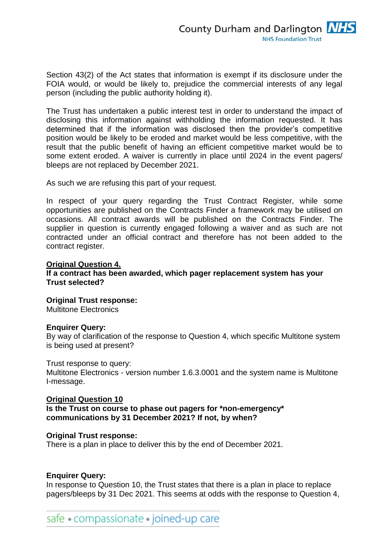Section 43(2) of the Act states that information is exempt if its disclosure under the FOIA would, or would be likely to, prejudice the commercial interests of any legal person (including the public authority holding it).

The Trust has undertaken a public interest test in order to understand the impact of disclosing this information against withholding the information requested. It has determined that if the information was disclosed then the provider's competitive position would be likely to be eroded and market would be less competitive, with the result that the public benefit of having an efficient competitive market would be to some extent eroded. A waiver is currently in place until 2024 in the event pagers/ bleeps are not replaced by December 2021.

As such we are refusing this part of your request.

In respect of your query regarding the Trust Contract Register, while some opportunities are published on the Contracts Finder a framework may be utilised on occasions. All contract awards will be published on the Contracts Finder. The supplier in question is currently engaged following a waiver and as such are not contracted under an official contract and therefore has not been added to the contract register.

## **Original Question 4.**

## **If a contract has been awarded, which pager replacement system has your Trust selected?**

## **Original Trust response:**

Multitone Electronics

### **Enquirer Query:**

By way of clarification of the response to Question 4, which specific Multitone system is being used at present?

### Trust response to query:

Multitone Electronics - version number 1.6.3.0001 and the system name is Multitone I-message.

**Original Question 10 Is the Trust on course to phase out pagers for \*non-emergency\* communications by 31 December 2021? If not, by when?**

### **Original Trust response:**

There is a plan in place to deliver this by the end of December 2021.

## **Enquirer Query:**

In response to Question 10, the Trust states that there is a plan in place to replace pagers/bleeps by 31 Dec 2021. This seems at odds with the response to Question 4,

safe • compassionate • joined-up care